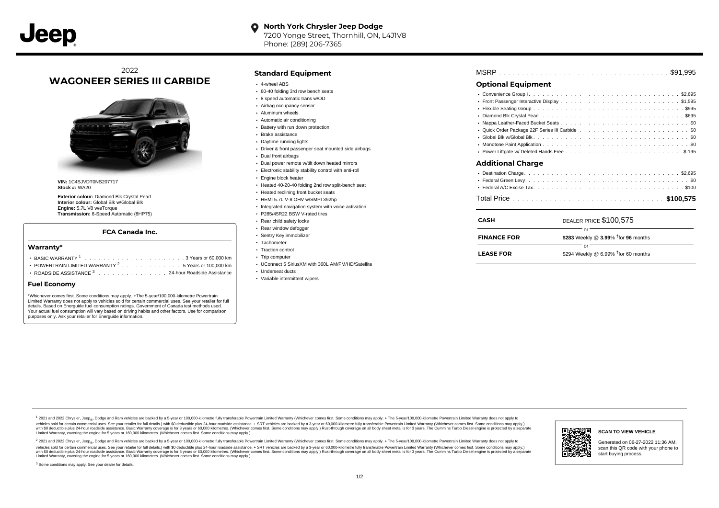## 2022 **WAGONEER SERIES III CARBIDE**



**VIN:** 1C4SJVDT0NS207717 **Stock #:** WA20

**Exterior colour:** Diamond Blk Crystal Pearl **Interior colour:** Global Blk w/Global Blk **Engine:** 5.7L V8 w/eTorque **Transmission:** 8-Speed Automatic (8HP75)

### **FCA Canada Inc.**

#### **Warranty\***

- . . . . . . . . . . . . . . . . . . . . . . . . . . . . . . . . . . . . . . . . . . . BASIC WARRANTY <sup>1</sup> 3 Years or 60,000 km POWERTRAIN LIMITED WARRANTY  $2 \ldots \ldots \ldots \ldots \ldots 5$  Years or 100,000 km
- ROADSIDE ASSISTANCE 3 . . . . . . . . . . . . . . . 24-hour Roadside Assistance

### **Fuel Economy**

\*Whichever comes first. Some conditions may apply. +The 5-year/100,000-kilometre Powertrain Limited Warranty does not apply to vehicles sold for certain commercial uses. See your retailer for full details. Based on Energuide fuel consumption ratings. Government of Canada test methods used. Your actual fuel consumption will vary based on driving habits and other factors. Use for comparison purposes only. Ask your retailer for Energuide information.

### **Standard Equipment**

- 4-wheel ABS
- 60-40 folding 3rd row bench seats
- 8 speed automatic trans w/OD
- Airbag occupancy sensor Aluminum wheels
- 
- Automatic air conditioning
- Battery with run down protection Brake assistance
- Daytime running lights
- 
- Driver & front passenger seat mounted side airbags
- Dual front airbags
- Dual power remote w/tilt down heated mirrors
- Electronic stability stability control with anti-roll
- Engine block heater
- Heated 40-20-40 folding 2nd row split-bench seat
- **.** Heated reclining front bucket seats
- HEMI 5.7L V-8 OHV w/SMPI 392hp
- Integrated navigation system with voice activation
- P285/45R22 BSW V-rated tires
- Rear child safety locks
- Rear window defogger Sentry Key immobilizer
- Tachometer
- Traction control
- Trip computer
- UConnect 5 SiriusXM with 360L AM/FM/HD/Satellite
- Underseat ducts
- Variable intermittent wipers

| <b>Optional Equipment</b> |  |  |
|---------------------------|--|--|

#### . . . . . . . . . . . . . . . . . . . . . . . . . . . . . . . . . . . . . . . . . . . . . . Convenience Group I \$2,695 Front Passenger Interactive Display .............................\$1,595 Flexible Seating Group .................................9995 . . . . . . . . . . . . . . . . . . . . . . . . . . . . . . . . . . . . . . . . . . . . . . Diamond Blk Crystal Pearl \$695 Nappa Leather-Faced Bucket Seats .............................. . . . . . . . . . . . . . . . . . . . . . . . . . . . . . . . . . . . . . . . . . . . . . . Quick Order Package 22F Series III Carbide \$0 . . . . . . . . . . . . . . . . . . . . . . . . . . . . . . . . . . . . . . . . . . . . . . Global Blk w/Global Blk \$0 . . . . . . . . . . . . . . . . . . . . . . . . . . . . . . . . . . . . . . . . . . . . . . Monotone Paint Application \$0 . . . . . . . . . . . . . . . . . . . . . . . . . . . . . . . . . . . . . . . . . . . . . . Power Liftgate w/ Deleted Hands Free \$-195 . . . . . . . . . . . . . . . . . . . . . . . . . . . . . . . . . . . . . . . . . . . . . . **Additional Charge** Destination Charge \$2,695

| CASH               | DEALER PRICE \$100,575                             |  |  |  |  |
|--------------------|----------------------------------------------------|--|--|--|--|
| <b>FINANCE FOR</b> | \$283 Weekly @ $3.99\%$ <sup>†</sup> for 96 months |  |  |  |  |
| <b>LEASE FOR</b>   | \$294 Weekly @ 6.99% $†$ for 60 months             |  |  |  |  |

1 2021 and 2022 Chrysler, Jeep<sub>en</sub> Dodge and Ram vehicles are backed by a 5-year or 100,000-kilometre fully transferable Powertrain Limited Warranty (Whichever comes first. Some conditions may apply. + The 5-year/100,000-k vehicles sold for certain commercial uses. See your retailer for full details.) with S0 deductible plus 24-hour madside assistance. + SRT vehicles are backed by a 3-year or 60.000-kilometre fully transferable Powertrain Li ventals and contract when the contract when the contract you contract when the contract when the control of the set of a set of a set of a set of 3 years of 60,000 kilometres. Whichever comes first. Some conditions may app Limited Warranty, covering the engine for 5 years or 160,000 kilometres. (Whichever comes first. Some conditions may apply.)

2 2021 and 2022 Chrysler, Jeep<sub>es</sub> Dodge and Ram vehicles are backed by a 5-year or 100,000-kilometre fully transferable Powertrain Limited Warranty (Whichever comes first. Some conditions may apply. + The 5-year/100,000-k vehicles sold for certain commercial uses. See your retailer for full details.) with SO deductible plus 24-hour roadside assistance. + SRT vehicles are backed by a 3-year or 60.000-kilometre fully transferable Powertrain L with S0 deductible plus 24-hour roadside assistance. Basic Warranty coverage is for 3 years or 60,000 kilometres. (Whichever comes first. Some conditions may apply.) Rust-through coverage on all body sheet metal is for 3 y



#### **SCAN TO VIEW VEHICLE**

Generated on 06-27-2022 11:36 AM, scan this QR code with your phone to start buying process.

<sup>3</sup> Some conditions may apply. See your dealer for details.